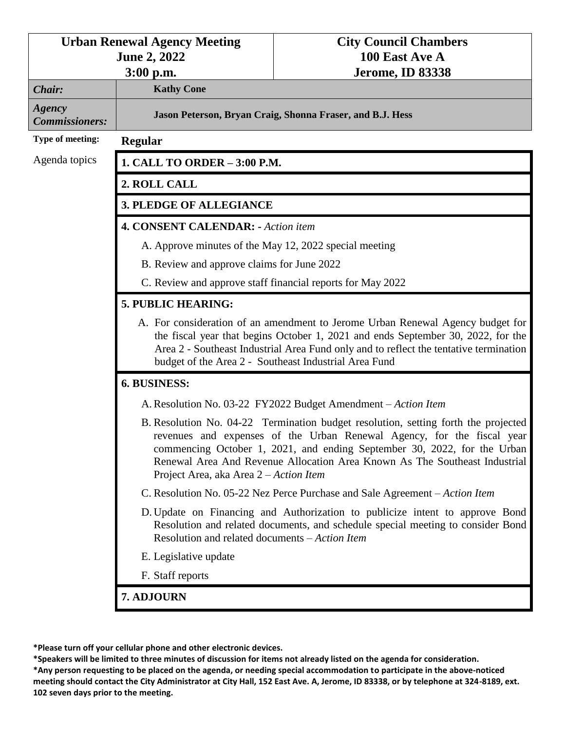| <b>Urban Renewal Agency Meeting</b> |                                                                                                                                                                                                                                                                                                                      | <b>City Council Chambers</b>                                                                                                                                                                                                                                                                                           |  |
|-------------------------------------|----------------------------------------------------------------------------------------------------------------------------------------------------------------------------------------------------------------------------------------------------------------------------------------------------------------------|------------------------------------------------------------------------------------------------------------------------------------------------------------------------------------------------------------------------------------------------------------------------------------------------------------------------|--|
|                                     | <b>June 2, 2022</b><br>$3:00$ p.m.                                                                                                                                                                                                                                                                                   | 100 East Ave A<br><b>Jerome, ID 83338</b>                                                                                                                                                                                                                                                                              |  |
| Chair:                              | <b>Kathy Cone</b>                                                                                                                                                                                                                                                                                                    |                                                                                                                                                                                                                                                                                                                        |  |
| Agency<br><b>Commissioners:</b>     | Jason Peterson, Bryan Craig, Shonna Fraser, and B.J. Hess                                                                                                                                                                                                                                                            |                                                                                                                                                                                                                                                                                                                        |  |
| Type of meeting:                    | Regular                                                                                                                                                                                                                                                                                                              |                                                                                                                                                                                                                                                                                                                        |  |
| Agenda topics                       | 1. CALL TO ORDER - 3:00 P.M.                                                                                                                                                                                                                                                                                         |                                                                                                                                                                                                                                                                                                                        |  |
|                                     | 2. ROLL CALL                                                                                                                                                                                                                                                                                                         |                                                                                                                                                                                                                                                                                                                        |  |
|                                     | <b>3. PLEDGE OF ALLEGIANCE</b>                                                                                                                                                                                                                                                                                       |                                                                                                                                                                                                                                                                                                                        |  |
|                                     | <b>4. CONSENT CALENDAR:</b> - Action item                                                                                                                                                                                                                                                                            |                                                                                                                                                                                                                                                                                                                        |  |
|                                     | A. Approve minutes of the May 12, 2022 special meeting                                                                                                                                                                                                                                                               |                                                                                                                                                                                                                                                                                                                        |  |
|                                     | B. Review and approve claims for June 2022                                                                                                                                                                                                                                                                           |                                                                                                                                                                                                                                                                                                                        |  |
|                                     | C. Review and approve staff financial reports for May 2022                                                                                                                                                                                                                                                           |                                                                                                                                                                                                                                                                                                                        |  |
|                                     | 5. PUBLIC HEARING:                                                                                                                                                                                                                                                                                                   |                                                                                                                                                                                                                                                                                                                        |  |
|                                     | A. For consideration of an amendment to Jerome Urban Renewal Agency budget for<br>the fiscal year that begins October 1, 2021 and ends September 30, 2022, for the<br>Area 2 - Southeast Industrial Area Fund only and to reflect the tentative termination<br>budget of the Area 2 - Southeast Industrial Area Fund |                                                                                                                                                                                                                                                                                                                        |  |
|                                     | 6. BUSINESS:                                                                                                                                                                                                                                                                                                         |                                                                                                                                                                                                                                                                                                                        |  |
|                                     | A. Resolution No. 03-22 FY2022 Budget Amendment – Action Item                                                                                                                                                                                                                                                        |                                                                                                                                                                                                                                                                                                                        |  |
|                                     | Project Area, aka Area 2 – Action Item                                                                                                                                                                                                                                                                               | B. Resolution No. 04-22 Termination budget resolution, setting forth the projected<br>revenues and expenses of the Urban Renewal Agency, for the fiscal year<br>commencing October 1, 2021, and ending September 30, 2022, for the Urban<br>Renewal Area And Revenue Allocation Area Known As The Southeast Industrial |  |
|                                     | C. Resolution No. 05-22 Nez Perce Purchase and Sale Agreement – Action Item                                                                                                                                                                                                                                          |                                                                                                                                                                                                                                                                                                                        |  |
|                                     | D. Update on Financing and Authorization to publicize intent to approve Bond<br>Resolution and related documents, and schedule special meeting to consider Bond<br>Resolution and related documents - Action Item                                                                                                    |                                                                                                                                                                                                                                                                                                                        |  |
|                                     | E. Legislative update                                                                                                                                                                                                                                                                                                |                                                                                                                                                                                                                                                                                                                        |  |
|                                     | F. Staff reports                                                                                                                                                                                                                                                                                                     |                                                                                                                                                                                                                                                                                                                        |  |
|                                     | 7. ADJOURN                                                                                                                                                                                                                                                                                                           |                                                                                                                                                                                                                                                                                                                        |  |
|                                     |                                                                                                                                                                                                                                                                                                                      |                                                                                                                                                                                                                                                                                                                        |  |

**<sup>\*</sup>Please turn off your cellular phone and other electronic devices.**

**<sup>\*</sup>Speakers will be limited to three minutes of discussion for items not already listed on the agenda for consideration. \*Any person requesting to be placed on the agenda, or needing special accommodation to participate in the above-noticed meeting should contact the City Administrator at City Hall, 152 East Ave. A, Jerome, ID 83338, or by telephone at 324-8189, ext. 102 seven days prior to the meeting.**